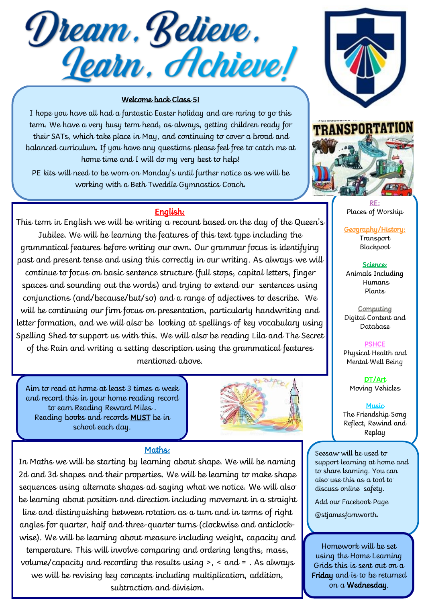Dream. Believe.<br><u>Je</u>arn. Hchieve!

## Welcome back Class 5!

I hope you have all had a fantastic Easter holiday and are raring to go this term. We have a very busy term head, as always, getting children ready for their SATs, which take place in May, and continuing to cover a broad and balanced curriculum. If you have any questions please feel free to catch me at home time and I will do my very best to help!

PE kits will need to be worn on Monday's until further notice as we will be working with a Beth Tweddle Gymnastics Coach.

## English:

This term in English we will be writing a recount based on the day of the Queen's Jubilee. We will be learning the features of this text type including the grammatical features before writing our own. Our grammar focus is identifying past and present tense and using this correctly in our writing. As always we will continue to focus on basic sentence structure (full stops, capital letters, finger spaces and sounding out the words) and trying to extend our sentences using conjunctions (and/because/but/so) and a range of adjectives to describe. We will be continuing our firm focus on presentation, particularly handwriting and letter formation, and we will also be looking at spellings of key vocabulary using Spelling Shed to support us with this. We will also be reading Lila and The Secret of the Rain and writing a setting description using the grammatical features mentioned above.

Aim to read at home at least 3 times a week and record this in your home reading record to earn Reading Reward Miles . Reading books and records MUST be in school each day.



## Maths:

In Maths we will be starting by learning about shape. We will be naming 2d and 3d shapes and their properties. We will be learning to make shape sequences using alternate shapes ad saying what we notice. We will also be learning about position and direction including movement in a straight line and distinguishing between rotation as a turn and in terms of right angles for quarter, half and three-quarter turns (clockwise and anticlockwise). We will be learning about measure including weight, capacity and temperature. This will involve comparing and ordering lengths, mass, volume/capacity and recording the results using >, < and = . As always we will be revising key concepts including multiplication, addition, subtraction and division.





RE: Places of Worship

Geography/History: Transport Blackpool

Science: Animals Including Humans Plants

**Computing** Digital Content and Database

**PSHCE** Physical Health and Mental Well Being

DT/Art Moving Vehicles

Music The Friendship Song Reflect, Rewind and Replay

Seesaw will be used to support learning at home and to share learning. You can also use this as a tool to discuss online safety.

Add our Facebook Page

@stjamesfarnworth.

Homework will be set using the Home Learning Grids this is sent out on a Friday and is to be returned on a Wednesday.